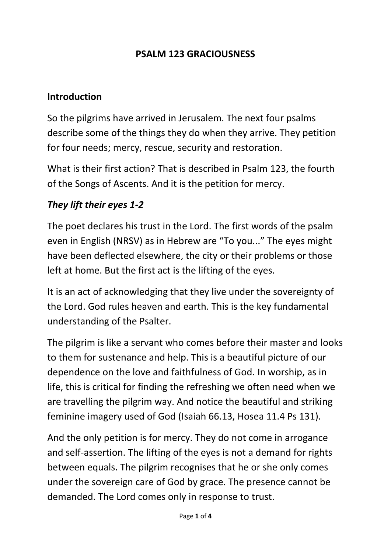#### **PSALM 123 GRACIOUSNESS**

#### **Introduction**

So the pilgrims have arrived in Jerusalem. The next four psalms describe some of the things they do when they arrive. They petition for four needs; mercy, rescue, security and restoration.

What is their first action? That is described in Psalm 123, the fourth of the Songs of Ascents. And it is the petition for mercy.

#### *They lift their eyes 1-2*

The poet declares his trust in the Lord. The first words of the psalm even in English (NRSV) as in Hebrew are "To you..." The eyes might have been deflected elsewhere, the city or their problems or those left at home. But the first act is the lifting of the eyes.

It is an act of acknowledging that they live under the sovereignty of the Lord. God rules heaven and earth. This is the key fundamental understanding of the Psalter.

The pilgrim is like a servant who comes before their master and looks to them for sustenance and help. This is a beautiful picture of our dependence on the love and faithfulness of God. In worship, as in life, this is critical for finding the refreshing we often need when we are travelling the pilgrim way. And notice the beautiful and striking feminine imagery used of God (Isaiah 66.13, Hosea 11.4 Ps 131).

And the only petition is for mercy. They do not come in arrogance and self-assertion. The lifting of the eyes is not a demand for rights between equals. The pilgrim recognises that he or she only comes under the sovereign care of God by grace. The presence cannot be demanded. The Lord comes only in response to trust.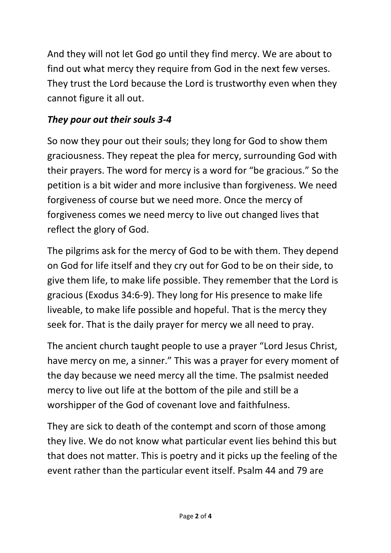And they will not let God go until they find mercy. We are about to find out what mercy they require from God in the next few verses. They trust the Lord because the Lord is trustworthy even when they cannot figure it all out.

# *They pour out their souls 3-4*

So now they pour out their souls; they long for God to show them graciousness. They repeat the plea for mercy, surrounding God with their prayers. The word for mercy is a word for "be gracious." So the petition is a bit wider and more inclusive than forgiveness. We need forgiveness of course but we need more. Once the mercy of forgiveness comes we need mercy to live out changed lives that reflect the glory of God.

The pilgrims ask for the mercy of God to be with them. They depend on God for life itself and they cry out for God to be on their side, to give them life, to make life possible. They remember that the Lord is gracious (Exodus 34:6-9). They long for His presence to make life liveable, to make life possible and hopeful. That is the mercy they seek for. That is the daily prayer for mercy we all need to pray.

The ancient church taught people to use a prayer "Lord Jesus Christ, have mercy on me, a sinner." This was a prayer for every moment of the day because we need mercy all the time. The psalmist needed mercy to live out life at the bottom of the pile and still be a worshipper of the God of covenant love and faithfulness.

They are sick to death of the contempt and scorn of those among they live. We do not know what particular event lies behind this but that does not matter. This is poetry and it picks up the feeling of the event rather than the particular event itself. Psalm 44 and 79 are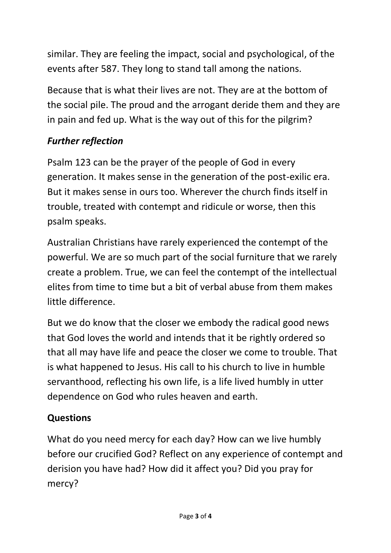similar. They are feeling the impact, social and psychological, of the events after 587. They long to stand tall among the nations.

Because that is what their lives are not. They are at the bottom of the social pile. The proud and the arrogant deride them and they are in pain and fed up. What is the way out of this for the pilgrim?

# *Further reflection*

Psalm 123 can be the prayer of the people of God in every generation. It makes sense in the generation of the post-exilic era. But it makes sense in ours too. Wherever the church finds itself in trouble, treated with contempt and ridicule or worse, then this psalm speaks.

Australian Christians have rarely experienced the contempt of the powerful. We are so much part of the social furniture that we rarely create a problem. True, we can feel the contempt of the intellectual elites from time to time but a bit of verbal abuse from them makes little difference.

But we do know that the closer we embody the radical good news that God loves the world and intends that it be rightly ordered so that all may have life and peace the closer we come to trouble. That is what happened to Jesus. His call to his church to live in humble servanthood, reflecting his own life, is a life lived humbly in utter dependence on God who rules heaven and earth.

# **Questions**

What do you need mercy for each day? How can we live humbly before our crucified God? Reflect on any experience of contempt and derision you have had? How did it affect you? Did you pray for mercy?